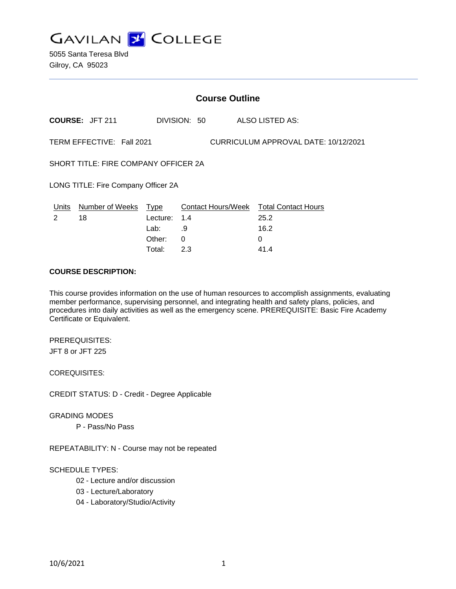

5055 Santa Teresa Blvd Gilroy, CA 95023

| <b>Course Outline</b>                                             |                        |              |              |                                        |
|-------------------------------------------------------------------|------------------------|--------------|--------------|----------------------------------------|
|                                                                   | <b>COURSE: JFT 211</b> |              | DIVISION: 50 | ALSO LISTED AS:                        |
| TERM EFFECTIVE: Fall 2021<br>CURRICULUM APPROVAL DATE: 10/12/2021 |                        |              |              |                                        |
| SHORT TITLE: FIRE COMPANY OFFICER 2A                              |                        |              |              |                                        |
| LONG TITLE: Fire Company Officer 2A                               |                        |              |              |                                        |
| Units                                                             | Number of Weeks        | Type         |              | Contact Hours/Week Total Contact Hours |
| $\mathcal{P}$                                                     | 18                     | Lecture: 1.4 |              | 25.2                                   |
|                                                                   |                        | Lab:         | .9           | 16.2                                   |
|                                                                   |                        | Other:       | $\Omega$     | 0                                      |
|                                                                   |                        | Total:       | 2.3          | 41.4                                   |

## **COURSE DESCRIPTION:**

This course provides information on the use of human resources to accomplish assignments, evaluating member performance, supervising personnel, and integrating health and safety plans, policies, and procedures into daily activities as well as the emergency scene. PREREQUISITE: Basic Fire Academy Certificate or Equivalent.

PREREQUISITES: JFT 8 or JFT 225

COREQUISITES:

CREDIT STATUS: D - Credit - Degree Applicable

GRADING MODES

P - Pass/No Pass

REPEATABILITY: N - Course may not be repeated

SCHEDULE TYPES:

- 02 Lecture and/or discussion
- 03 Lecture/Laboratory
- 04 Laboratory/Studio/Activity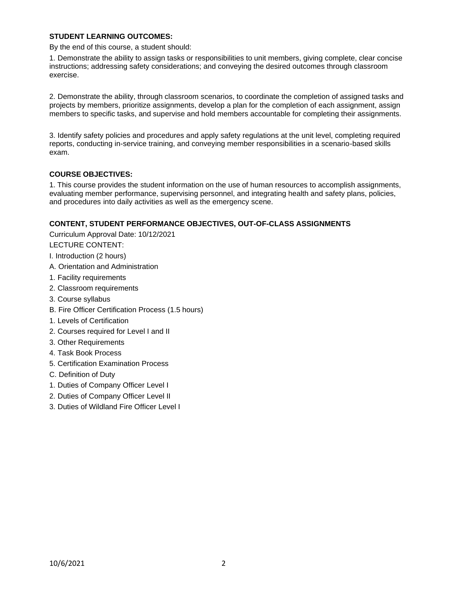## **STUDENT LEARNING OUTCOMES:**

By the end of this course, a student should:

1. Demonstrate the ability to assign tasks or responsibilities to unit members, giving complete, clear concise instructions; addressing safety considerations; and conveying the desired outcomes through classroom exercise.

2. Demonstrate the ability, through classroom scenarios, to coordinate the completion of assigned tasks and projects by members, prioritize assignments, develop a plan for the completion of each assignment, assign members to specific tasks, and supervise and hold members accountable for completing their assignments.

3. Identify safety policies and procedures and apply safety regulations at the unit level, completing required reports, conducting in-service training, and conveying member responsibilities in a scenario-based skills exam.

## **COURSE OBJECTIVES:**

1. This course provides the student information on the use of human resources to accomplish assignments, evaluating member performance, supervising personnel, and integrating health and safety plans, policies, and procedures into daily activities as well as the emergency scene.

## **CONTENT, STUDENT PERFORMANCE OBJECTIVES, OUT-OF-CLASS ASSIGNMENTS**

Curriculum Approval Date: 10/12/2021

LECTURE CONTENT:

I. Introduction (2 hours)

- A. Orientation and Administration
- 1. Facility requirements
- 2. Classroom requirements
- 3. Course syllabus
- B. Fire Officer Certification Process (1.5 hours)
- 1. Levels of Certification
- 2. Courses required for Level I and II
- 3. Other Requirements
- 4. Task Book Process
- 5. Certification Examination Process
- C. Definition of Duty
- 1. Duties of Company Officer Level I
- 2. Duties of Company Officer Level II
- 3. Duties of Wildland Fire Officer Level I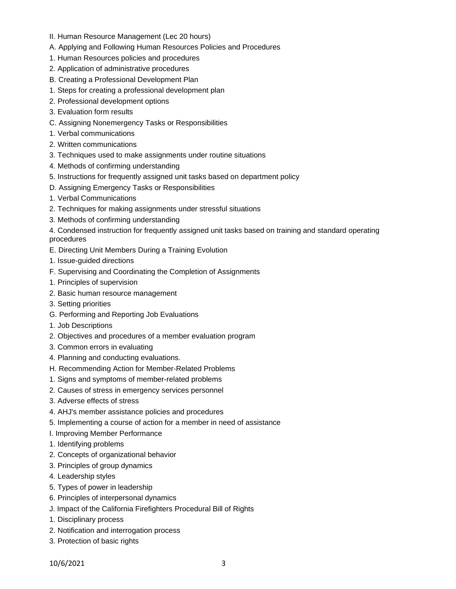- II. Human Resource Management (Lec 20 hours)
- A. Applying and Following Human Resources Policies and Procedures
- 1. Human Resources policies and procedures
- 2. Application of administrative procedures
- B. Creating a Professional Development Plan
- 1. Steps for creating a professional development plan
- 2. Professional development options
- 3. Evaluation form results
- C. Assigning Nonemergency Tasks or Responsibilities
- 1. Verbal communications
- 2. Written communications
- 3. Techniques used to make assignments under routine situations
- 4. Methods of confirming understanding
- 5. Instructions for frequently assigned unit tasks based on department policy
- D. Assigning Emergency Tasks or Responsibilities
- 1. Verbal Communications
- 2. Techniques for making assignments under stressful situations
- 3. Methods of confirming understanding

4. Condensed instruction for frequently assigned unit tasks based on training and standard operating procedures

- E. Directing Unit Members During a Training Evolution
- 1. Issue-guided directions
- F. Supervising and Coordinating the Completion of Assignments
- 1. Principles of supervision
- 2. Basic human resource management
- 3. Setting priorities
- G. Performing and Reporting Job Evaluations
- 1. Job Descriptions
- 2. Objectives and procedures of a member evaluation program
- 3. Common errors in evaluating
- 4. Planning and conducting evaluations.
- H. Recommending Action for Member-Related Problems
- 1. Signs and symptoms of member-related problems
- 2. Causes of stress in emergency services personnel
- 3. Adverse effects of stress
- 4. AHJ's member assistance policies and procedures
- 5. Implementing a course of action for a member in need of assistance
- I. Improving Member Performance
- 1. Identifying problems
- 2. Concepts of organizational behavior
- 3. Principles of group dynamics
- 4. Leadership styles
- 5. Types of power in leadership
- 6. Principles of interpersonal dynamics
- J. Impact of the California Firefighters Procedural Bill of Rights
- 1. Disciplinary process
- 2. Notification and interrogation process
- 3. Protection of basic rights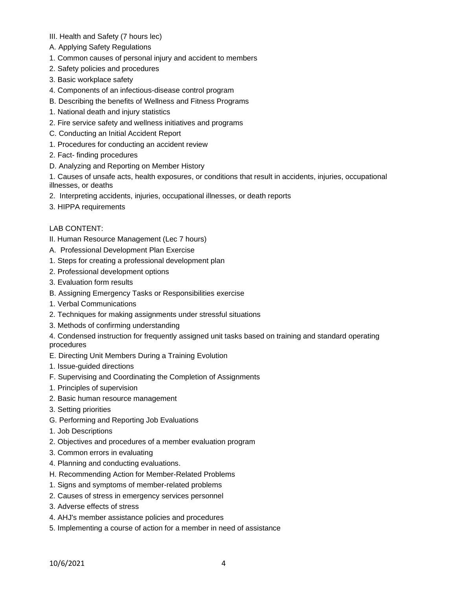- III. Health and Safety (7 hours lec)
- A. Applying Safety Regulations
- 1. Common causes of personal injury and accident to members
- 2. Safety policies and procedures
- 3. Basic workplace safety
- 4. Components of an infectious-disease control program
- B. Describing the benefits of Wellness and Fitness Programs
- 1. National death and injury statistics
- 2. Fire service safety and wellness initiatives and programs
- C. Conducting an Initial Accident Report
- 1. Procedures for conducting an accident review
- 2. Fact- finding procedures
- D. Analyzing and Reporting on Member History

1. Causes of unsafe acts, health exposures, or conditions that result in accidents, injuries, occupational illnesses, or deaths

- 2. Interpreting accidents, injuries, occupational illnesses, or death reports
- 3. HIPPA requirements

# LAB CONTENT:

- II. Human Resource Management (Lec 7 hours)
- A. Professional Development Plan Exercise
- 1. Steps for creating a professional development plan
- 2. Professional development options
- 3. Evaluation form results
- B. Assigning Emergency Tasks or Responsibilities exercise
- 1. Verbal Communications
- 2. Techniques for making assignments under stressful situations
- 3. Methods of confirming understanding
- 4. Condensed instruction for frequently assigned unit tasks based on training and standard operating procedures
- E. Directing Unit Members During a Training Evolution
- 1. Issue-guided directions
- F. Supervising and Coordinating the Completion of Assignments
- 1. Principles of supervision
- 2. Basic human resource management
- 3. Setting priorities
- G. Performing and Reporting Job Evaluations
- 1. Job Descriptions
- 2. Objectives and procedures of a member evaluation program
- 3. Common errors in evaluating
- 4. Planning and conducting evaluations.
- H. Recommending Action for Member-Related Problems
- 1. Signs and symptoms of member-related problems
- 2. Causes of stress in emergency services personnel
- 3. Adverse effects of stress
- 4. AHJ's member assistance policies and procedures
- 5. Implementing a course of action for a member in need of assistance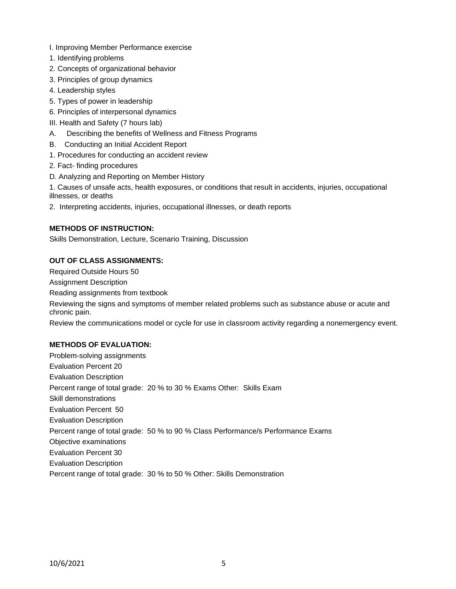- I. Improving Member Performance exercise
- 1. Identifying problems
- 2. Concepts of organizational behavior
- 3. Principles of group dynamics
- 4. Leadership styles
- 5. Types of power in leadership
- 6. Principles of interpersonal dynamics
- III. Health and Safety (7 hours lab)
- A. Describing the benefits of Wellness and Fitness Programs
- B. Conducting an Initial Accident Report
- 1. Procedures for conducting an accident review
- 2. Fact- finding procedures
- D. Analyzing and Reporting on Member History
- 1. Causes of unsafe acts, health exposures, or conditions that result in accidents, injuries, occupational illnesses, or deaths
- 2. Interpreting accidents, injuries, occupational illnesses, or death reports

# **METHODS OF INSTRUCTION:**

Skills Demonstration, Lecture, Scenario Training, Discussion

# **OUT OF CLASS ASSIGNMENTS:**

Required Outside Hours 50 Assignment Description Reading assignments from textbook Reviewing the signs and symptoms of member related problems such as substance abuse or acute and chronic pain. Review the communications model or cycle for use in classroom activity regarding a nonemergency event. **METHODS OF EVALUATION:**

Problem-solving assignments Evaluation Percent 20 Evaluation Description Percent range of total grade: 20 % to 30 % Exams Other: Skills Exam Skill demonstrations Evaluation Percent 50 Evaluation Description Percent range of total grade: 50 % to 90 % Class Performance/s Performance Exams Objective examinations Evaluation Percent 30 Evaluation Description Percent range of total grade: 30 % to 50 % Other: Skills Demonstration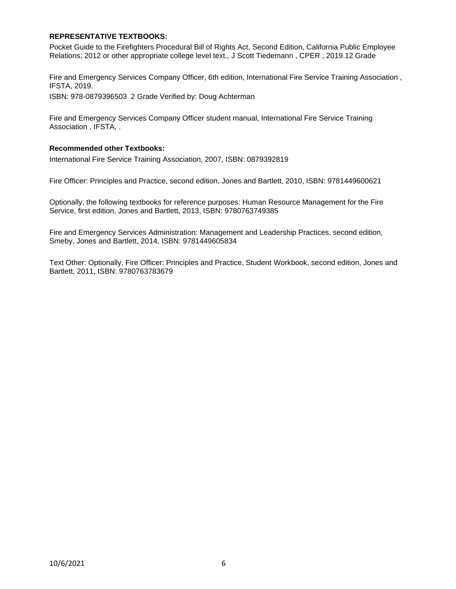## **REPRESENTATIVE TEXTBOOKS:**

Pocket Guide to the Firefighters Procedural Bill of Rights Act, Second Edition, California Public Employee Relations, 2012 or other appropriate college level text., J Scott Tiedemann , CPER , 2019.12 Grade

Fire and Emergency Services Company Officer, 6th edition, International Fire Service Training Association , IFSTA, 2019.

ISBN: 978-0879396503 2 Grade Verified by: Doug Achterman

Fire and Emergency Services Company Officer student manual, International Fire Service Training Association , IFSTA, .

## **Recommended other Textbooks:**

International Fire Service Training Association, 2007, ISBN: 0879392819

Fire Officer: Principles and Practice, second edition, Jones and Bartlett, 2010, ISBN: 9781449600621

Optionally, the following textbooks for reference purposes: Human Resource Management for the Fire Service, first edition, Jones and Bartlett, 2013, ISBN: 9780763749385

Fire and Emergency Services Administration: Management and Leadership Practices, second edition, Smeby, Jones and Bartlett, 2014, ISBN: 9781449605834

Text Other: Optionally, Fire Officer: Principles and Practice, Student Workbook, second edition, Jones and Bartlett, 2011, ISBN: 9780763783679